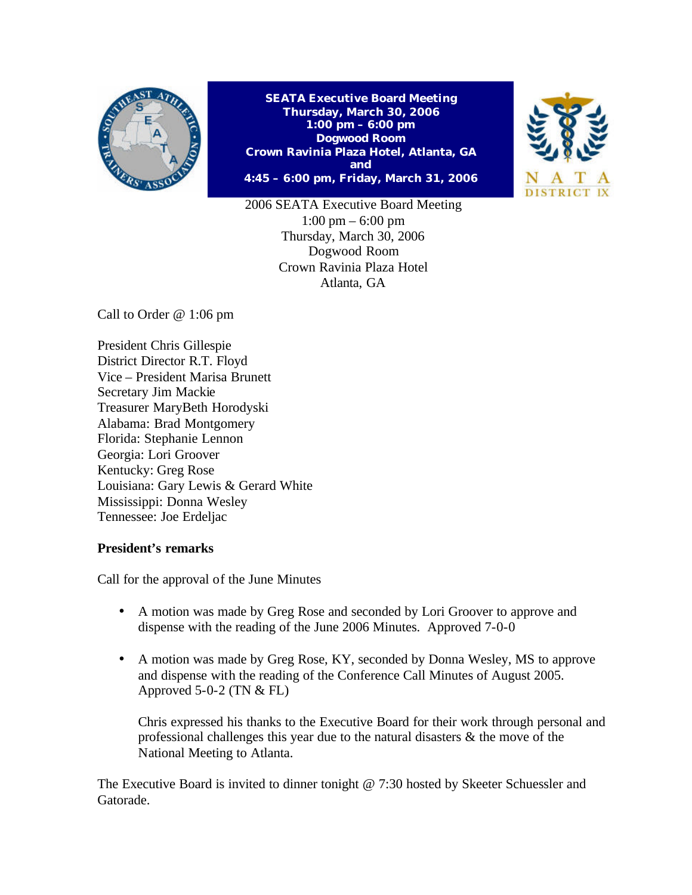

**SEATA Executive Board Meeting Thursday, March 30, 2006 1:00 pm – 6:00 pm Dogwood Room Crown Ravinia Plaza Hotel, Atlanta, GA and 4:45 – 6:00 pm, Friday, March 31, 2006**



2006 SEATA Executive Board Meeting 1:00 pm – 6:00 pm Thursday, March 30, 2006 Dogwood Room Crown Ravinia Plaza Hotel Atlanta, GA

Call to Order @ 1:06 pm

President Chris Gillespie District Director R.T. Floyd Vice – President Marisa Brunett Secretary Jim Mackie Treasurer MaryBeth Horodyski Alabama: Brad Montgomery Florida: Stephanie Lennon Georgia: Lori Groover Kentucky: Greg Rose Louisiana: Gary Lewis & Gerard White Mississippi: Donna Wesley Tennessee: Joe Erdeljac

# **President's remarks**

Call for the approval of the June Minutes

- A motion was made by Greg Rose and seconded by Lori Groover to approve and dispense with the reading of the June 2006 Minutes. Approved 7-0-0
- A motion was made by Greg Rose, KY, seconded by Donna Wesley, MS to approve and dispense with the reading of the Conference Call Minutes of August 2005. Approved  $5-0-2$  (TN  $&$  FL)

Chris expressed his thanks to the Executive Board for their work through personal and professional challenges this year due to the natural disasters & the move of the National Meeting to Atlanta.

The Executive Board is invited to dinner tonight @ 7:30 hosted by Skeeter Schuessler and Gatorade.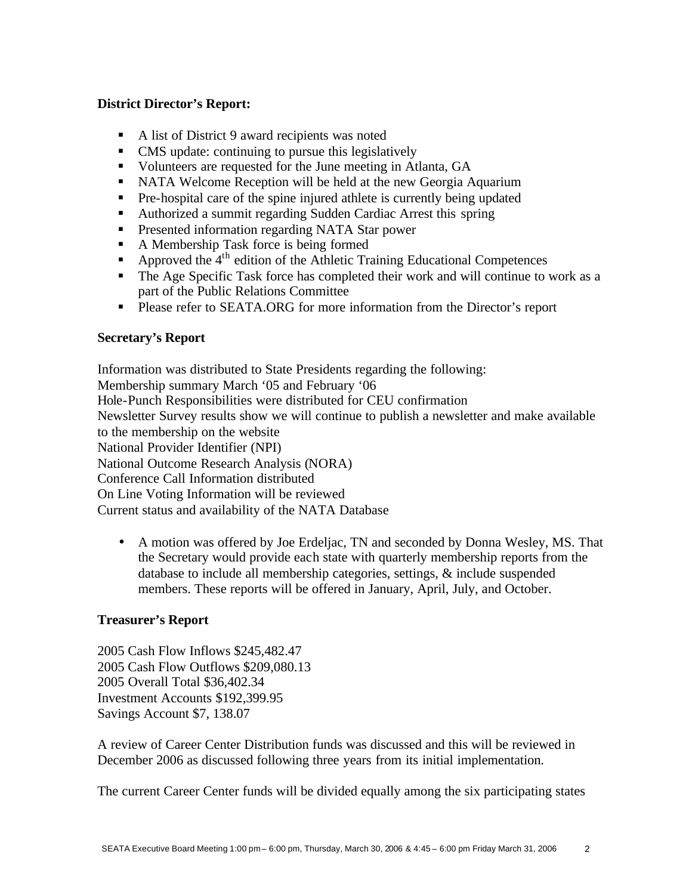### **District Director's Report:**

- $\blacksquare$  A list of District 9 award recipients was noted
- CMS update: continuing to pursue this legislatively
- Volunteers are requested for the June meeting in Atlanta, GA
- NATA Welcome Reception will be held at the new Georgia Aquarium
- Pre-hospital care of the spine injured athlete is currently being updated
- Authorized a summit regarding Sudden Cardiac Arrest this spring
- **•** Presented information regarding NATA Star power
- **A Membership Task force is being formed**
- Approved the  $4<sup>th</sup>$  edition of the Athletic Training Educational Competences
- The Age Specific Task force has completed their work and will continue to work as a part of the Public Relations Committee
- ß Please refer to SEATA.ORG for more information from the Director's report

# **Secretary's Report**

Information was distributed to State Presidents regarding the following: Membership summary March '05 and February '06 Hole-Punch Responsibilities were distributed for CEU confirmation Newsletter Survey results show we will continue to publish a newsletter and make available to the membership on the website National Provider Identifier (NPI) National Outcome Research Analysis (NORA) Conference Call Information distributed On Line Voting Information will be reviewed Current status and availability of the NATA Database

• A motion was offered by Joe Erdeljac, TN and seconded by Donna Wesley, MS. That the Secretary would provide each state with quarterly membership reports from the database to include all membership categories, settings, & include suspended members. These reports will be offered in January, April, July, and October.

# **Treasurer's Report**

2005 Cash Flow Inflows \$245,482.47 2005 Cash Flow Outflows \$209,080.13 2005 Overall Total \$36,402.34 Investment Accounts \$192,399.95 Savings Account \$7, 138.07

A review of Career Center Distribution funds was discussed and this will be reviewed in December 2006 as discussed following three years from its initial implementation.

The current Career Center funds will be divided equally among the six participating states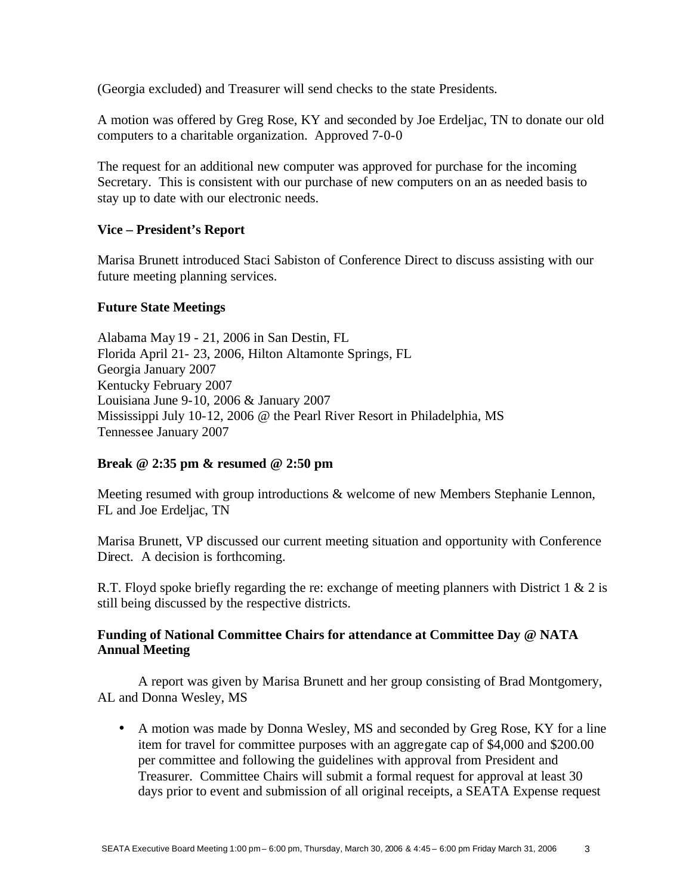(Georgia excluded) and Treasurer will send checks to the state Presidents.

A motion was offered by Greg Rose, KY and seconded by Joe Erdeljac, TN to donate our old computers to a charitable organization. Approved 7-0-0

The request for an additional new computer was approved for purchase for the incoming Secretary. This is consistent with our purchase of new computers on an as needed basis to stay up to date with our electronic needs.

### **Vice – President's Report**

Marisa Brunett introduced Staci Sabiston of Conference Direct to discuss assisting with our future meeting planning services.

### **Future State Meetings**

Alabama May 19 - 21, 2006 in San Destin, FL Florida April 21- 23, 2006, Hilton Altamonte Springs, FL Georgia January 2007 Kentucky February 2007 Louisiana June 9-10, 2006 & January 2007 Mississippi July 10-12, 2006 @ the Pearl River Resort in Philadelphia, MS Tennessee January 2007

# **Break @ 2:35 pm & resumed @ 2:50 pm**

Meeting resumed with group introductions & welcome of new Members Stephanie Lennon, FL and Joe Erdeljac, TN

Marisa Brunett, VP discussed our current meeting situation and opportunity with Conference Direct. A decision is forthcoming.

R.T. Floyd spoke briefly regarding the re: exchange of meeting planners with District 1 & 2 is still being discussed by the respective districts.

# **Funding of National Committee Chairs for attendance at Committee Day @ NATA Annual Meeting**

A report was given by Marisa Brunett and her group consisting of Brad Montgomery, AL and Donna Wesley, MS

• A motion was made by Donna Wesley, MS and seconded by Greg Rose, KY for a line item for travel for committee purposes with an aggregate cap of \$4,000 and \$200.00 per committee and following the guidelines with approval from President and Treasurer. Committee Chairs will submit a formal request for approval at least 30 days prior to event and submission of all original receipts, a SEATA Expense request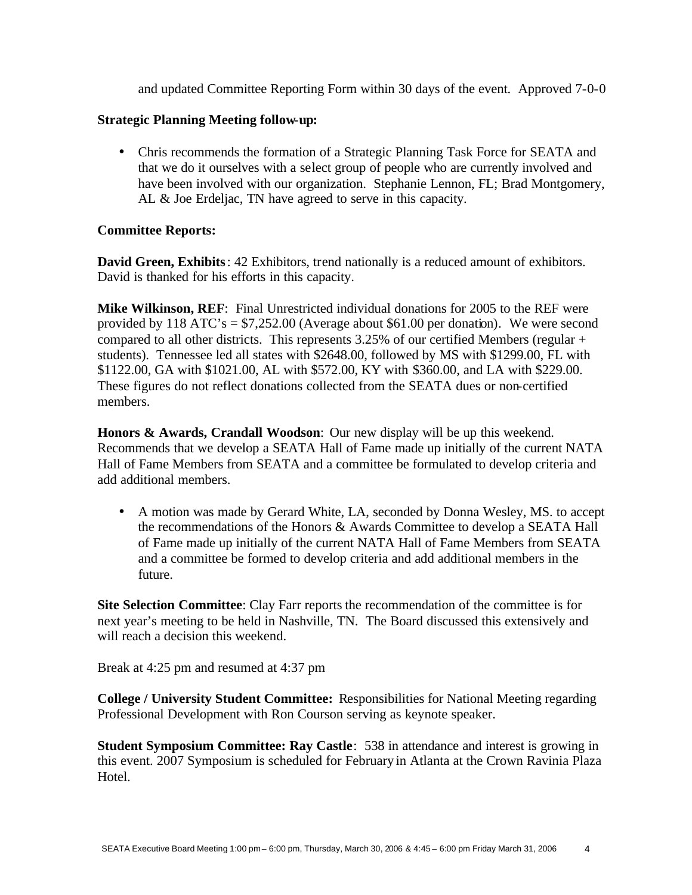and updated Committee Reporting Form within 30 days of the event. Approved 7-0-0

### **Strategic Planning Meeting follow-up:**

• Chris recommends the formation of a Strategic Planning Task Force for SEATA and that we do it ourselves with a select group of people who are currently involved and have been involved with our organization. Stephanie Lennon, FL; Brad Montgomery, AL & Joe Erdeljac, TN have agreed to serve in this capacity.

# **Committee Reports:**

**David Green, Exhibits**: 42 Exhibitors, trend nationally is a reduced amount of exhibitors. David is thanked for his efforts in this capacity.

**Mike Wilkinson, REF**: Final Unrestricted individual donations for 2005 to the REF were provided by 118 ATC's = \$7,252.00 (Average about \$61.00 per donation). We were second compared to all other districts. This represents 3.25% of our certified Members (regular + students). Tennessee led all states with \$2648.00, followed by MS with \$1299.00, FL with \$1122.00, GA with \$1021.00, AL with \$572.00, KY with \$360.00, and LA with \$229.00. These figures do not reflect donations collected from the SEATA dues or non-certified members.

**Honors & Awards, Crandall Woodson**: Our new display will be up this weekend. Recommends that we develop a SEATA Hall of Fame made up initially of the current NATA Hall of Fame Members from SEATA and a committee be formulated to develop criteria and add additional members.

• A motion was made by Gerard White, LA, seconded by Donna Wesley, MS. to accept the recommendations of the Honors & Awards Committee to develop a SEATA Hall of Fame made up initially of the current NATA Hall of Fame Members from SEATA and a committee be formed to develop criteria and add additional members in the future.

**Site Selection Committee**: Clay Farr reports the recommendation of the committee is for next year's meeting to be held in Nashville, TN. The Board discussed this extensively and will reach a decision this weekend.

Break at 4:25 pm and resumed at 4:37 pm

**College / University Student Committee:** Responsibilities for National Meeting regarding Professional Development with Ron Courson serving as keynote speaker.

**Student Symposium Committee: Ray Castle**: 538 in attendance and interest is growing in this event. 2007 Symposium is scheduled for February in Atlanta at the Crown Ravinia Plaza Hotel.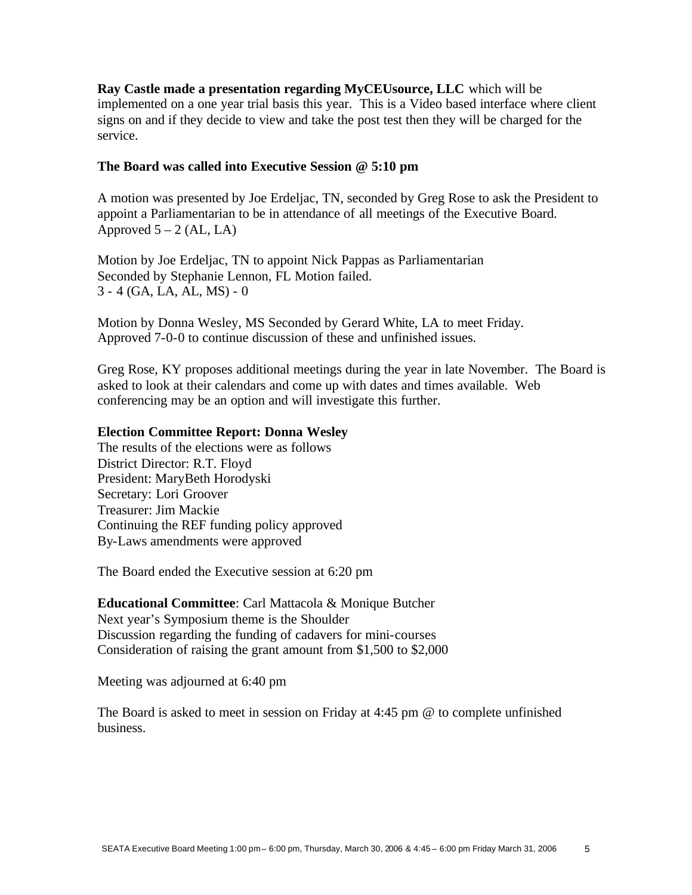**Ray Castle made a presentation regarding MyCEUsource, LLC** which will be implemented on a one year trial basis this year. This is a Video based interface where client signs on and if they decide to view and take the post test then they will be charged for the service.

# **The Board was called into Executive Session @ 5:10 pm**

A motion was presented by Joe Erdeljac, TN, seconded by Greg Rose to ask the President to appoint a Parliamentarian to be in attendance of all meetings of the Executive Board. Approved  $5 - 2$  (AL, LA)

Motion by Joe Erdeljac, TN to appoint Nick Pappas as Parliamentarian Seconded by Stephanie Lennon, FL Motion failed. 3 - 4 (GA, LA, AL, MS) - 0

Motion by Donna Wesley, MS Seconded by Gerard White, LA to meet Friday. Approved 7-0-0 to continue discussion of these and unfinished issues.

Greg Rose, KY proposes additional meetings during the year in late November. The Board is asked to look at their calendars and come up with dates and times available. Web conferencing may be an option and will investigate this further.

# **Election Committee Report: Donna Wesley**

The results of the elections were as follows District Director: R.T. Floyd President: MaryBeth Horodyski Secretary: Lori Groover Treasurer: Jim Mackie Continuing the REF funding policy approved By-Laws amendments were approved

The Board ended the Executive session at 6:20 pm

**Educational Committee**: Carl Mattacola & Monique Butcher Next year's Symposium theme is the Shoulder Discussion regarding the funding of cadavers for mini-courses Consideration of raising the grant amount from \$1,500 to \$2,000

Meeting was adjourned at 6:40 pm

The Board is asked to meet in session on Friday at 4:45 pm @ to complete unfinished business.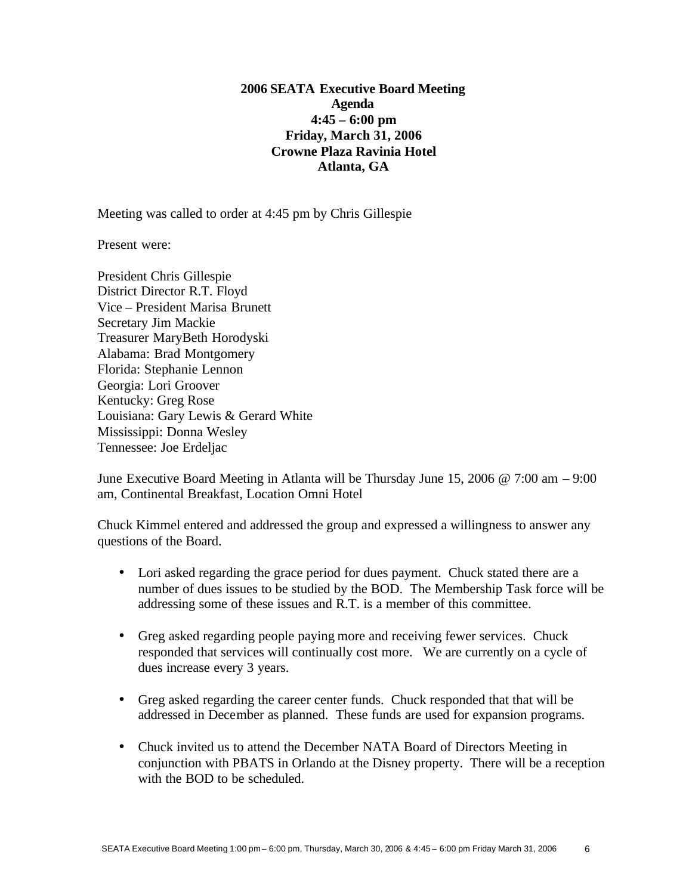# **2006 SEATA Executive Board Meeting Agenda 4:45 – 6:00 pm Friday, March 31, 2006 Crowne Plaza Ravinia Hotel Atlanta, GA**

Meeting was called to order at 4:45 pm by Chris Gillespie

Present were:

President Chris Gillespie District Director R.T. Floyd Vice – President Marisa Brunett Secretary Jim Mackie Treasurer MaryBeth Horodyski Alabama: Brad Montgomery Florida: Stephanie Lennon Georgia: Lori Groover Kentucky: Greg Rose Louisiana: Gary Lewis & Gerard White Mississippi: Donna Wesley Tennessee: Joe Erdeljac

June Executive Board Meeting in Atlanta will be Thursday June 15, 2006 @ 7:00 am – 9:00 am, Continental Breakfast, Location Omni Hotel

Chuck Kimmel entered and addressed the group and expressed a willingness to answer any questions of the Board.

- Lori asked regarding the grace period for dues payment. Chuck stated there are a number of dues issues to be studied by the BOD. The Membership Task force will be addressing some of these issues and R.T. is a member of this committee.
- Greg asked regarding people paying more and receiving fewer services. Chuck responded that services will continually cost more. We are currently on a cycle of dues increase every 3 years.
- Greg asked regarding the career center funds. Chuck responded that that will be addressed in December as planned. These funds are used for expansion programs.
- Chuck invited us to attend the December NATA Board of Directors Meeting in conjunction with PBATS in Orlando at the Disney property. There will be a reception with the BOD to be scheduled.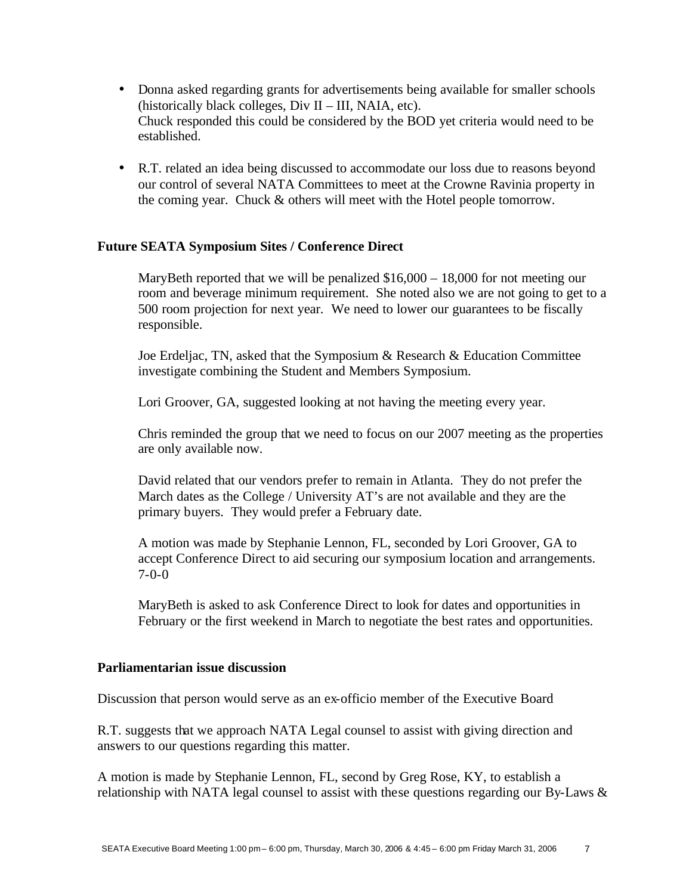- Donna asked regarding grants for advertisements being available for smaller schools (historically black colleges, Div II – III, NAIA, etc). Chuck responded this could be considered by the BOD yet criteria would need to be established.
- R.T. related an idea being discussed to accommodate our loss due to reasons beyond our control of several NATA Committees to meet at the Crowne Ravinia property in the coming year. Chuck & others will meet with the Hotel people tomorrow.

# **Future SEATA Symposium Sites / Conference Direct**

MaryBeth reported that we will be penalized \$16,000 – 18,000 for not meeting our room and beverage minimum requirement. She noted also we are not going to get to a 500 room projection for next year. We need to lower our guarantees to be fiscally responsible.

Joe Erdeljac, TN, asked that the Symposium & Research & Education Committee investigate combining the Student and Members Symposium.

Lori Groover, GA, suggested looking at not having the meeting every year.

Chris reminded the group that we need to focus on our 2007 meeting as the properties are only available now.

David related that our vendors prefer to remain in Atlanta. They do not prefer the March dates as the College / University AT's are not available and they are the primary buyers. They would prefer a February date.

A motion was made by Stephanie Lennon, FL, seconded by Lori Groover, GA to accept Conference Direct to aid securing our symposium location and arrangements. 7-0-0

MaryBeth is asked to ask Conference Direct to look for dates and opportunities in February or the first weekend in March to negotiate the best rates and opportunities.

# **Parliamentarian issue discussion**

Discussion that person would serve as an ex-officio member of the Executive Board

R.T. suggests that we approach NATA Legal counsel to assist with giving direction and answers to our questions regarding this matter.

A motion is made by Stephanie Lennon, FL, second by Greg Rose, KY, to establish a relationship with NATA legal counsel to assist with these questions regarding our By-Laws &